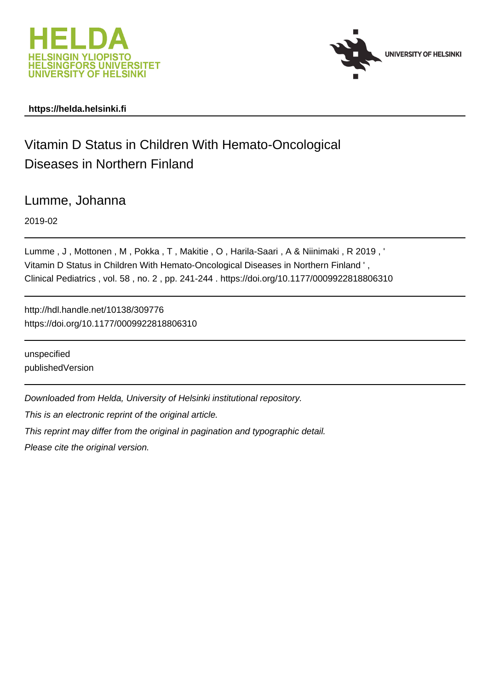



# **https://helda.helsinki.fi**

# Vitamin D Status in Children With Hemato-Oncological Diseases in Northern Finland

Lumme, Johanna

2019-02

Lumme , J , Mottonen , M , Pokka , T , Makitie , O , Harila-Saari , A & Niinimaki , R 2019 , ' Vitamin D Status in Children With Hemato-Oncological Diseases in Northern Finland ' , Clinical Pediatrics , vol. 58 , no. 2 , pp. 241-244 . https://doi.org/10.1177/0009922818806310

http://hdl.handle.net/10138/309776 https://doi.org/10.1177/0009922818806310

unspecified publishedVersion

Downloaded from Helda, University of Helsinki institutional repository.

This is an electronic reprint of the original article.

This reprint may differ from the original in pagination and typographic detail.

Please cite the original version.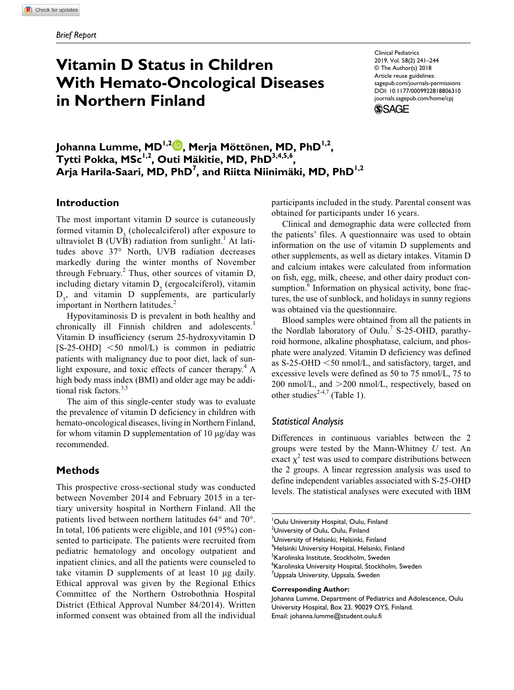**806[310](http://crossmark.crossref.org/dialog/?doi=10.1177%2F0009922818806310&domain=pdf&date_stamp=2018-10-08)** CPJXXX10.1177/0009922818806310Clinical Pediatrics**Lumme et al**

# **Vitamin D Status in Children With Hemato-Oncological Diseases in Northern Finland**

https://doi.org/10.1177/0009922818806310 DOI: 10.1177/0009922818806310 Clinical Pediatrics 2019, Vol. 58(2) 241–244 © The Author(s) 2018 Article reuse guidelines: [sagepub.com/journals-permissions](https://us.sagepub.com/en-us/journals-permissions) [journals.sagepub.com/home/cpj](https://journals.sagepub.com/home/cpj)



**Johanna Lumme, MD1,2 , Merja Möttönen, MD, PhD1,2 , Tytti Pokka, MSc1,2 , Outi Mäkitie, MD, PhD3,4,5,6 , Arja Harila-Saari, MD, PhD7 , and Riitta Niinimäki, MD, PhD1,2**

### **Introduction**

The most important vitamin D source is cutaneously formed vitamin  $D_3$  (cholecalciferol) after exposure to ultraviolet B (UVB) radiation from sunlight.<sup>1</sup> At latitudes above 37° North, UVB radiation decreases markedly during the winter months of November through February. $^{2}$  Thus, other sources of vitamin D, including dietary vitamin  $D_2$  (ergocalciferol), vitamin  $D_3$ , and vitamin D supplements, are particularly important in Northern latitudes.<sup>2</sup>

Hypovitaminosis D is prevalent in both healthy and chronically ill Finnish children and adolescents.<sup>3</sup> Vitamin D insufficiency (serum 25-hydroxyvitamin D  $[S-25-OHD] < 50$  nmol/L) is common in pediatric patients with malignancy due to poor diet, lack of sunlight exposure, and toxic effects of cancer therapy.<sup>4</sup> A high body mass index (BMI) and older age may be additional risk factors.<sup>3,5</sup>

The aim of this single-center study was to evaluate the prevalence of vitamin D deficiency in children with hemato-oncological diseases, living in Northern Finland, for whom vitamin D supplementation of 10  $\mu$ g/day was recommended.

## **Methods**

This prospective cross-sectional study was conducted between November 2014 and February 2015 in a tertiary university hospital in Northern Finland. All the patients lived between northern latitudes 64° and 70°. In total, 106 patients were eligible, and 101 (95%) consented to participate. The patients were recruited from pediatric hematology and oncology outpatient and inpatient clinics, and all the patients were counseled to take vitamin D supplements of at least 10 µg daily. Ethical approval was given by the Regional Ethics Committee of the Northern Ostrobothnia Hospital District (Ethical Approval Number 84/2014). Written informed consent was obtained from all the individual

participants included in the study. Parental consent was obtained for participants under 16 years.

Clinical and demographic data were collected from the patients' files. A questionnaire was used to obtain information on the use of vitamin D supplements and other supplements, as well as dietary intakes. Vitamin D and calcium intakes were calculated from information on fish, egg, milk, cheese, and other dairy product consumption.<sup>6</sup> Information on physical activity, bone fractures, the use of sunblock, and holidays in sunny regions was obtained via the questionnaire.

Blood samples were obtained from all the patients in the Nordlab laboratory of Oulu.<sup>7</sup> S-25-OHD, parathyroid hormone, alkaline phosphatase, calcium, and phosphate were analyzed. Vitamin D deficiency was defined as S-25-OHD <50 nmol/L, and satisfactory, target, and excessive levels were defined as 50 to 75 nmol/L, 75 to 200 nmol/L, and >200 nmol/L, respectively, based on other studies<sup>2-4,7</sup> (Table 1).

#### *Statistical Analysis*

Differences in continuous variables between the 2 groups were tested by the Mann-Whitney *U* test. An exact  $\chi^2$  test was used to compare distributions between the 2 groups. A linear regression analysis was used to define independent variables associated with S-25-OHD levels. The statistical analyses were executed with IBM

4 Helsinki University Hospital, Helsinki, Finland

<sup>5</sup>Karolinska Institute, Stockholm, Sweden

6 Karolinska University Hospital, Stockholm, Sweden

<sup>7</sup>Uppsala University, Uppsala, Sweden

#### **Corresponding Author:**

Johanna Lumme, Department of Pediatrics and Adolescence, Oulu University Hospital, Box 23, 90029 OYS, Finland. Email: [johanna.lumme@student.oulu.fi](mailto:johanna.lumme@student.oulu.fi)

<sup>1</sup> Oulu University Hospital, Oulu, Finland <sup>2</sup>University of Oulu, Oulu, Finland <sup>3</sup>University of Helsinki, Helsinki, Finland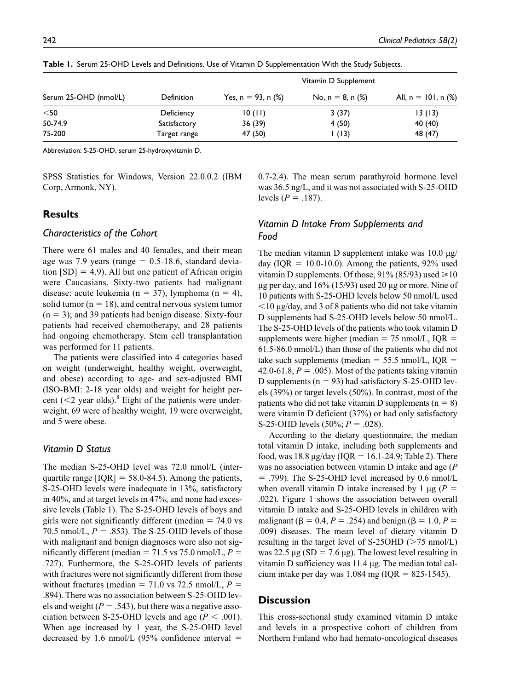|                       | <b>Definition</b> | Vitamin D Supplement     |                        |                                   |
|-----------------------|-------------------|--------------------------|------------------------|-----------------------------------|
| Serum 25-OHD (nmol/L) |                   | Yes, $n = 93$ , n $(\%)$ | No, $n = 8$ , n $(\%)$ | All, $n = 101$ , n $\binom{9}{6}$ |
| $<$ 50                | Deficiency        | 10(11)                   | 3(37)                  | 13(13)                            |
| 50-74.9               | Satisfactory      | 36(39)                   | 4(50)                  | 40 (40)                           |
| 75-200                | Target range      | 47 (50)                  | 1(13)                  | 48 (47)                           |

**Table 1.** Serum 25-OHD Levels and Definitions. Use of Vitamin D Supplementation With the Study Subjects.

Abbreviation: S-25-OHD, serum 25-hydroxyvitamin D.

SPSS Statistics for Windows, Version 22.0.0.2 (IBM Corp, Armonk, NY).

#### **Results**

#### *Characteristics of the Cohort*

There were 61 males and 40 females, and their mean age was 7.9 years (range  $= 0.5$ -18.6, standard deviation  $[SD] = 4.9$ . All but one patient of African origin were Caucasians. Sixty-two patients had malignant disease: acute leukemia (n = 37), lymphoma (n = 4), solid tumor ( $n = 18$ ), and central nervous system tumor  $(n = 3)$ ; and 39 patients had benign disease. Sixty-four patients had received chemotherapy, and 28 patients had ongoing chemotherapy. Stem cell transplantation was performed for 11 patients.

The patients were classified into 4 categories based on weight (underweight, healthy weight, overweight, and obese) according to age- and sex-adjusted BMI (ISO-BMI: 2-18 year olds) and weight for height percent  $(<$ 2 year olds).<sup>8</sup> Eight of the patients were underweight, 69 were of healthy weight, 19 were overweight, and 5 were obese.

#### *Vitamin D Status*

The median S-25-OHD level was 72.0 nmol/L (interquartile range  $[IQR] = 58.0-84.5$ . Among the patients, S-25-OHD levels were inadequate in 13%, satisfactory in 40%, and at target levels in 47%, and none had excessive levels (Table 1). The S-25-OHD levels of boys and girls were not significantly different (median  $= 74.0$  vs 70.5 nmol/L,  $P = .853$ ). The S-25-OHD levels of those with malignant and benign diagnoses were also not significantly different (median =  $71.5$  vs  $75.0$  nmol/L,  $P =$ .727). Furthermore, the S-25-OHD levels of patients with fractures were not significantly different from those without fractures (median =  $71.0$  vs  $72.5$  nmol/L,  $P =$ .894). There was no association between S-25-OHD levels and weight  $(P = .543)$ , but there was a negative association between S-25-OHD levels and age ( $P < .001$ ). When age increased by 1 year, the S-25-OHD level decreased by 1.6 nmol/L  $(95\%$  confidence interval =

0.7-2.4). The mean serum parathyroid hormone level was 36.5 ng/L, and it was not associated with S-25-OHD levels ( $P = .187$ ).

# *Vitamin D Intake From Supplements and Food*

The median vitamin D supplement intake was  $10.0 \mu g$ / day (IQR  $= 10.0-10.0$ ). Among the patients, 92% used vitamin D supplements. Of those,  $91\%$  (85/93) used  $\geq 10$  $\mu$ g per day, and 16% (15/93) used 20  $\mu$ g or more. Nine of 10 patients with S-25-OHD levels below 50 nmol/L used  $\leq$ 10  $\mu$ g/day, and 3 of 8 patients who did not take vitamin D supplements had S-25-OHD levels below 50 nmol/L. The S-25-OHD levels of the patients who took vitamin D supplements were higher (median  $= 75$  nmol/L, IQR  $=$ 61.5-86.0 nmol/L) than those of the patients who did not take such supplements (median  $= 55.5$  nmol/L, IQR  $=$ 42.0-61.8,  $P = .005$ ). Most of the patients taking vitamin D supplements ( $n = 93$ ) had satisfactory S-25-OHD levels (39%) or target levels (50%). In contrast, most of the patients who did not take vitamin D supplements ( $n = 8$ ) were vitamin D deficient (37%) or had only satisfactory S-25-OHD levels (50%; *P* = .028).

According to the dietary questionnaire, the median total vitamin D intake, including both supplements and food, was  $18.8 \mu$ g/day (IQR = 16.1-24.9; Table 2). There was no association between vitamin D intake and age (*P*  $=$  .799). The S-25-OHD level increased by 0.6 nmol/L when overall vitamin D intake increased by 1  $\mu$ g (*P* = .022). Figure 1 shows the association between overall vitamin D intake and S-25-OHD levels in children with malignant ( $\beta = 0.4, P = .254$ ) and benign ( $\beta = 1.0, P =$ .009) diseases. The mean level of dietary vitamin D resulting in the target level of S-25OHD (>75 nmol/L) was 22.5  $\mu$ g (SD = 7.6  $\mu$ g). The lowest level resulting in vitamin D sufficiency was 11.4 µg. The median total calcium intake per day was 1.084 mg (IQR = 825-1545).

#### **Discussion**

This cross-sectional study examined vitamin D intake and levels in a prospective cohort of children from Northern Finland who had hemato-oncological diseases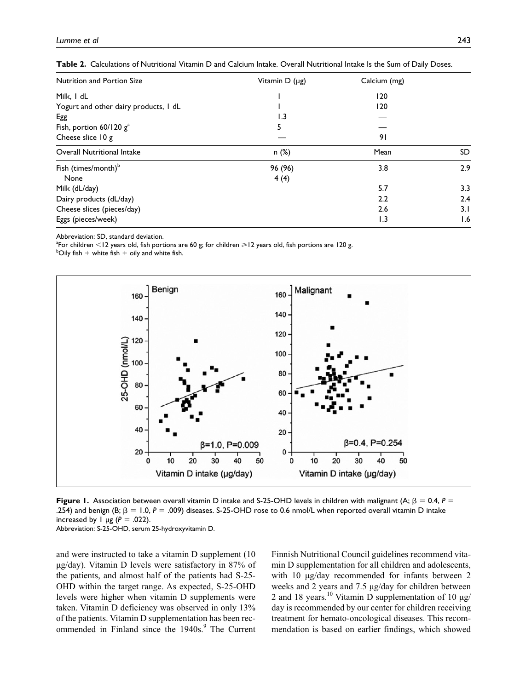| <b>Nutrition and Portion Size</b>     | Vitamin $D(\mu g)$ | Calcium (mg) |     |
|---------------------------------------|--------------------|--------------|-----|
| Milk, I dL                            |                    | 120          |     |
| Yogurt and other dairy products, I dL |                    | 120          |     |
| Egg                                   | 1.3                |              |     |
| Fish, portion $60/120$ $g^a$          | 5                  |              |     |
| Cheese slice 10 g                     |                    | 91           |     |
| <b>Overall Nutritional Intake</b>     | n(%)               | Mean         | SD  |
| Fish (times/month) <sup>b</sup>       | 96 (96)            | 3.8          | 2.9 |
| None                                  | 4(4)               |              |     |
| Milk (dL/day)                         |                    | 5.7          | 3.3 |
| Dairy products (dL/day)               |                    | 2.2          | 2.4 |
| Cheese slices (pieces/day)            |                    | 2.6          | 3.1 |
| Eggs (pieces/week)                    |                    | 1.3          | 1.6 |

Abbreviation: SD, standard deviation.

 ${}^4$ For children  $<$ 12 years old, fish portions are 60 g; for children  $\geq$ 12 years old, fish portions are 120 g.<br>bOily fish + white fish + eily and white fish

 $^{b}$ Oily fish + white fish + oily and white fish.



**Figure 1.** Association between overall vitamin D intake and S-25-OHD levels in children with malignant (A; β = 0.4, *P* = .254) and benign (B;  $\beta = 1.0$ ,  $P = .009$ ) diseases. S-25-OHD rose to 0.6 nmol/L when reported overall vitamin D intake increased by  $\vert \mu$ g ( $P = .022$ ). Abbreviation: S-25-OHD, serum 25-hydroxyvitamin D.

and were instructed to take a vitamin D supplement (10 µg/day). Vitamin D levels were satisfactory in 87% of the patients, and almost half of the patients had S-25- OHD within the target range. As expected, S-25-OHD levels were higher when vitamin D supplements were taken. Vitamin D deficiency was observed in only 13% of the patients. Vitamin D supplementation has been recommended in Finland since the 1940s.<sup>9</sup> The Current Finnish Nutritional Council guidelines recommend vitamin D supplementation for all children and adolescents, with 10  $\mu$ g/day recommended for infants between 2 weeks and 2 years and 7.5 µg/day for children between 2 and 18 years.<sup>10</sup> Vitamin D supplementation of 10  $\mu$ g/ day is recommended by our center for children receiving treatment for hemato-oncological diseases. This recommendation is based on earlier findings, which showed